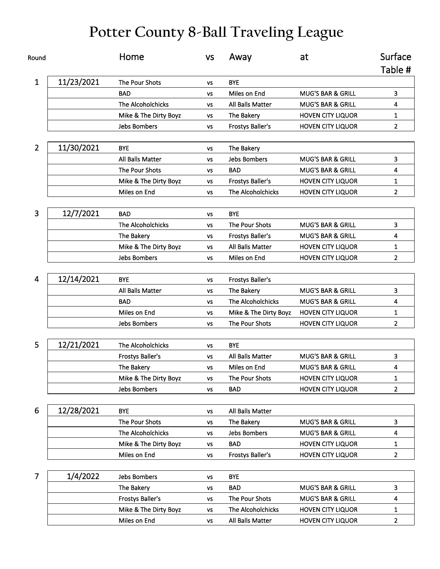## **Potter County 8-Ball Traveling League**

| Round          |            | Home                    | <b>VS</b> | Away                    | at                           | Surface        |
|----------------|------------|-------------------------|-----------|-------------------------|------------------------------|----------------|
|                |            |                         |           |                         |                              | Table #        |
| $\mathbf{1}$   | 11/23/2021 | The Pour Shots          | <b>VS</b> | <b>BYE</b>              |                              |                |
|                |            | <b>BAD</b>              | VS        | Miles on End            | <b>MUG'S BAR &amp; GRILL</b> | 3              |
|                |            | The Alcoholchicks       | VS        | All Balls Matter        | MUG'S BAR & GRILL            | 4              |
|                |            | Mike & The Dirty Boyz   | <b>VS</b> | The Bakery              | <b>HOVEN CITY LIQUOR</b>     | 1              |
|                |            | <b>Jebs Bombers</b>     | VS        | <b>Frostys Baller's</b> | <b>HOVEN CITY LIQUOR</b>     | $\overline{2}$ |
| $\overline{2}$ | 11/30/2021 | <b>BYE</b>              | <b>VS</b> | The Bakery              |                              |                |
|                |            | All Balls Matter        | <b>VS</b> | <b>Jebs Bombers</b>     | <b>MUG'S BAR &amp; GRILL</b> | 3              |
|                |            | The Pour Shots          | <b>VS</b> | <b>BAD</b>              | <b>MUG'S BAR &amp; GRILL</b> | 4              |
|                |            | Mike & The Dirty Boyz   | <b>VS</b> | <b>Frostys Baller's</b> | <b>HOVEN CITY LIQUOR</b>     | 1              |
|                |            | Miles on End            | <b>VS</b> | The Alcoholchicks       | <b>HOVEN CITY LIQUOR</b>     | $\overline{2}$ |
|                |            |                         |           |                         |                              |                |
| 3              | 12/7/2021  | <b>BAD</b>              | VS        | <b>BYE</b>              |                              |                |
|                |            | The Alcoholchicks       | <b>VS</b> | The Pour Shots          | <b>MUG'S BAR &amp; GRILL</b> | 3              |
|                |            | The Bakery              | <b>VS</b> | <b>Frostys Baller's</b> | <b>MUG'S BAR &amp; GRILL</b> | 4              |
|                |            | Mike & The Dirty Boyz   | <b>VS</b> | All Balls Matter        | <b>HOVEN CITY LIQUOR</b>     | 1              |
|                |            | <b>Jebs Bombers</b>     | <b>VS</b> | Miles on End            | <b>HOVEN CITY LIQUOR</b>     | $\overline{2}$ |
|                |            |                         |           |                         |                              |                |
| 4              | 12/14/2021 | <b>BYE</b>              | <b>VS</b> | <b>Frostys Baller's</b> |                              |                |
|                |            | All Balls Matter        | VS        | The Bakery              | <b>MUG'S BAR &amp; GRILL</b> | 3              |
|                |            | <b>BAD</b>              | <b>VS</b> | The Alcoholchicks       | <b>MUG'S BAR &amp; GRILL</b> | 4              |
|                |            | Miles on End            | <b>VS</b> | Mike & The Dirty Boyz   | <b>HOVEN CITY LIQUOR</b>     | 1              |
|                |            | Jebs Bombers            | <b>VS</b> | The Pour Shots          | <b>HOVEN CITY LIQUOR</b>     | $\overline{2}$ |
|                |            |                         |           |                         |                              |                |
| 5              | 12/21/2021 | The Alcoholchicks       | <b>VS</b> | <b>BYE</b>              |                              |                |
|                |            | <b>Frostys Baller's</b> | <b>VS</b> | <b>All Balls Matter</b> | <b>MUG'S BAR &amp; GRILL</b> | 3              |
|                |            | The Bakery              | <b>VS</b> | Miles on End            | <b>MUG'S BAR &amp; GRILL</b> | 4              |
|                |            | Mike & The Dirty Boyz   | VS        | The Pour Shots          | <b>HOVEN CITY LIQUOR</b>     | 1              |
|                |            | <b>Jebs Bombers</b>     | VS        | <b>BAD</b>              | <b>HOVEN CITY LIQUOR</b>     | $\overline{2}$ |
|                |            |                         |           |                         |                              |                |
| 6              | 12/28/2021 | <b>BYE</b>              | <b>VS</b> | All Balls Matter        |                              |                |
|                |            | The Pour Shots          | VS        | The Bakery              | <b>MUG'S BAR &amp; GRILL</b> | 3              |
|                |            | The Alcoholchicks       | ٧S        | <b>Jebs Bombers</b>     | MUG'S BAR & GRILL            | 4              |
|                |            | Mike & The Dirty Boyz   | VS        | <b>BAD</b>              | <b>HOVEN CITY LIQUOR</b>     | 1              |
|                |            | Miles on End            | VS        | <b>Frostys Baller's</b> | <b>HOVEN CITY LIQUOR</b>     | $\overline{2}$ |
| $\overline{7}$ | 1/4/2022   | <b>Jebs Bombers</b>     | <b>VS</b> | <b>BYE</b>              |                              |                |
|                |            | The Bakery              | <b>VS</b> | <b>BAD</b>              | MUG'S BAR & GRILL            | 3              |
|                |            | <b>Frostys Baller's</b> | VS        | The Pour Shots          | <b>MUG'S BAR &amp; GRILL</b> | 4              |
|                |            | Mike & The Dirty Boyz   | VS        | The Alcoholchicks       | <b>HOVEN CITY LIQUOR</b>     | 1              |
|                |            | Miles on End            | ٧S        | All Balls Matter        | <b>HOVEN CITY LIQUOR</b>     | $\overline{2}$ |
|                |            |                         |           |                         |                              |                |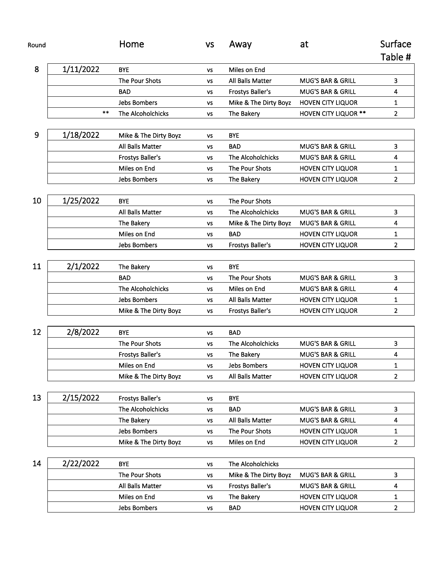| Round |           | Home                     | <b>VS</b> | Away                    | at                           | Surface        |
|-------|-----------|--------------------------|-----------|-------------------------|------------------------------|----------------|
|       |           |                          |           |                         |                              | Table #        |
| 8     | 1/11/2022 | <b>BYE</b>               | <b>VS</b> | Miles on End            |                              |                |
|       |           | The Pour Shots           | <b>VS</b> | All Balls Matter        | <b>MUG'S BAR &amp; GRILL</b> | 3              |
|       |           | <b>BAD</b>               | <b>VS</b> | <b>Frostys Baller's</b> | <b>MUG'S BAR &amp; GRILL</b> | 4              |
|       |           | <b>Jebs Bombers</b>      | <b>VS</b> | Mike & The Dirty Boyz   | <b>HOVEN CITY LIQUOR</b>     | 1              |
|       | **        | <b>The Alcoholchicks</b> | VS        | The Bakery              | <b>HOVEN CITY LIQUOR **</b>  | $\overline{2}$ |
| 9     | 1/18/2022 | Mike & The Dirty Boyz    | VS        | <b>BYE</b>              |                              |                |
|       |           | All Balls Matter         | <b>VS</b> | <b>BAD</b>              | <b>MUG'S BAR &amp; GRILL</b> | 3              |
|       |           | <b>Frostys Baller's</b>  | <b>VS</b> | The Alcoholchicks       | <b>MUG'S BAR &amp; GRILL</b> | 4              |
|       |           | Miles on End             | <b>VS</b> | The Pour Shots          | <b>HOVEN CITY LIQUOR</b>     | 1              |
|       |           | <b>Jebs Bombers</b>      | <b>VS</b> | The Bakery              | <b>HOVEN CITY LIQUOR</b>     | $\overline{2}$ |
| 10    | 1/25/2022 | <b>BYE</b>               | <b>VS</b> | The Pour Shots          |                              |                |
|       |           | All Balls Matter         | VS        | The Alcoholchicks       | <b>MUG'S BAR &amp; GRILL</b> | 3              |
|       |           | The Bakery               | <b>VS</b> | Mike & The Dirty Boyz   | MUG'S BAR & GRILL            | 4              |
|       |           | Miles on End             | <b>VS</b> | <b>BAD</b>              | <b>HOVEN CITY LIQUOR</b>     | 1              |
|       |           | <b>Jebs Bombers</b>      | <b>VS</b> | <b>Frostys Baller's</b> | <b>HOVEN CITY LIQUOR</b>     | $\overline{2}$ |
|       |           |                          |           |                         |                              |                |
| 11    | 2/1/2022  | The Bakery               | <b>VS</b> | <b>BYE</b>              |                              |                |
|       |           | <b>BAD</b>               | <b>VS</b> | The Pour Shots          | <b>MUG'S BAR &amp; GRILL</b> | з              |
|       |           | The Alcoholchicks        | <b>VS</b> | Miles on End            | <b>MUG'S BAR &amp; GRILL</b> | 4              |
|       |           | <b>Jebs Bombers</b>      | <b>VS</b> | All Balls Matter        | <b>HOVEN CITY LIQUOR</b>     | 1              |
|       |           | Mike & The Dirty Boyz    | <b>VS</b> | <b>Frostys Baller's</b> | <b>HOVEN CITY LIQUOR</b>     | $\overline{2}$ |
| 12    | 2/8/2022  | <b>BYE</b>               | <b>VS</b> | <b>BAD</b>              |                              |                |
|       |           | The Pour Shots           | <b>VS</b> | The Alcoholchicks       | <b>MUG'S BAR &amp; GRILL</b> | 3              |
|       |           | <b>Frostys Baller's</b>  | VS        | The Bakery              | <b>MUG'S BAR &amp; GRILL</b> | 4              |
|       |           | Miles on End             | <b>VS</b> | <b>Jebs Bombers</b>     | <b>HOVEN CITY LIQUOR</b>     | 1              |
|       |           | Mike & The Dirty Boyz    | <b>VS</b> | All Balls Matter        | <b>HOVEN CITY LIQUOR</b>     | $\overline{2}$ |
|       |           |                          |           |                         |                              |                |
| 13    | 2/15/2022 | <b>Frostys Baller's</b>  | VS        | <b>BYE</b>              |                              |                |
|       |           | The Alcoholchicks        | <b>VS</b> | <b>BAD</b>              | <b>MUG'S BAR &amp; GRILL</b> | 3              |
|       |           | The Bakery               | VS        | All Balls Matter        | <b>MUG'S BAR &amp; GRILL</b> | 4              |
|       |           | Jebs Bombers             | <b>VS</b> | The Pour Shots          | <b>HOVEN CITY LIQUOR</b>     | 1              |
|       |           | Mike & The Dirty Boyz    | VS        | Miles on End            | <b>HOVEN CITY LIQUOR</b>     | $\overline{2}$ |
| 14    | 2/22/2022 | <b>BYE</b>               | <b>VS</b> | The Alcoholchicks       |                              |                |
|       |           | The Pour Shots           | VS        | Mike & The Dirty Boyz   | MUG'S BAR & GRILL            | 3              |
|       |           | All Balls Matter         | <b>VS</b> | Frostys Baller's        | MUG'S BAR & GRILL            | 4              |
|       |           | Miles on End             | VS        | The Bakery              | <b>HOVEN CITY LIQUOR</b>     | 1              |
|       |           | Jebs Bombers             | VS        | <b>BAD</b>              | <b>HOVEN CITY LIQUOR</b>     | 2              |
|       |           |                          |           |                         |                              |                |